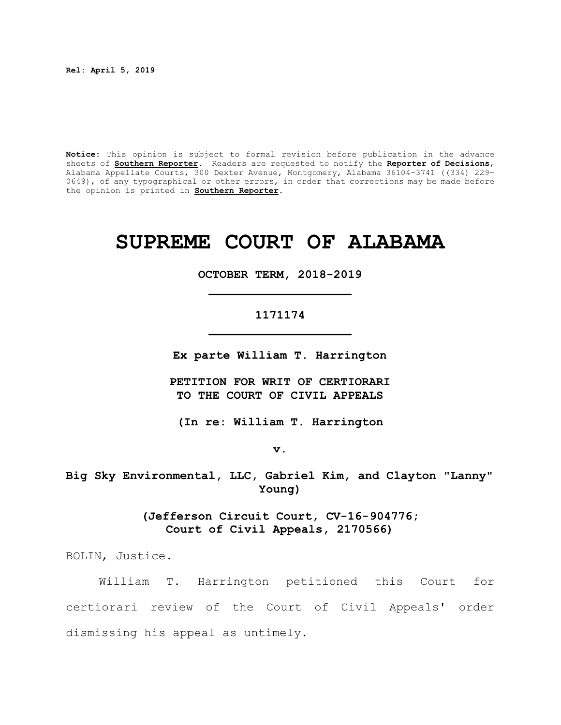**Rel: April 5, 2019**

**Notice:** This opinion is subject to formal revision before publication in the advance sheets of **Southern Reporter**. Readers are requested to notify the **Reporter of Decisions**, Alabama Appellate Courts, 300 Dexter Avenue, Montgomery, Alabama 36104-3741 ((334) 229- 0649), of any typographical or other errors, in order that corrections may be made before the opinion is printed in **Southern Reporter**.

# **SUPREME COURT OF ALABAMA**

# **OCTOBER TERM, 2018-2019 \_\_\_\_\_\_\_\_\_\_\_\_\_\_\_\_\_\_\_\_**

# **1171174 \_\_\_\_\_\_\_\_\_\_\_\_\_\_\_\_\_\_\_\_**

**Ex parte William T. Harrington**

**PETITION FOR WRIT OF CERTIORARI TO THE COURT OF CIVIL APPEALS**

**(In re: William T. Harrington**

**v.**

**Big Sky Environmental, LLC, Gabriel Kim, and Clayton "Lanny" Young)**

> **(Jefferson Circuit Court, CV-16-904776; Court of Civil Appeals, 2170566)**

BOLIN, Justice.

William T. Harrington petitioned this Court for certiorari review of the Court of Civil Appeals' order dismissing his appeal as untimely.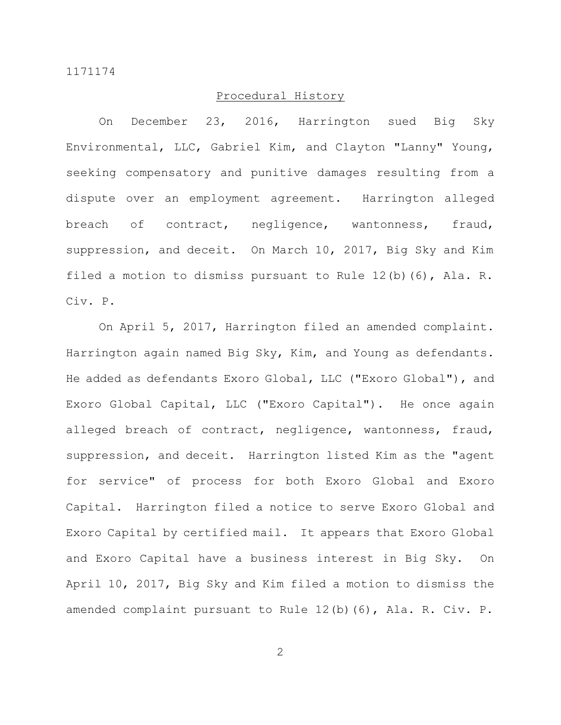# Procedural History

On December 23, 2016, Harrington sued Big Sky Environmental, LLC, Gabriel Kim, and Clayton "Lanny" Young, seeking compensatory and punitive damages resulting from a dispute over an employment agreement. Harrington alleged breach of contract, negligence, wantonness, fraud, suppression, and deceit. On March 10, 2017, Big Sky and Kim filed a motion to dismiss pursuant to Rule 12(b)(6), Ala. R. Civ. P.

On April 5, 2017, Harrington filed an amended complaint. Harrington again named Big Sky, Kim, and Young as defendants. He added as defendants Exoro Global, LLC ("Exoro Global"), and Exoro Global Capital, LLC ("Exoro Capital"). He once again alleged breach of contract, negligence, wantonness, fraud, suppression, and deceit. Harrington listed Kim as the "agent for service" of process for both Exoro Global and Exoro Capital. Harrington filed a notice to serve Exoro Global and Exoro Capital by certified mail. It appears that Exoro Global and Exoro Capital have a business interest in Big Sky. On April 10, 2017, Big Sky and Kim filed a motion to dismiss the amended complaint pursuant to Rule 12(b)(6), Ala. R. Civ. P.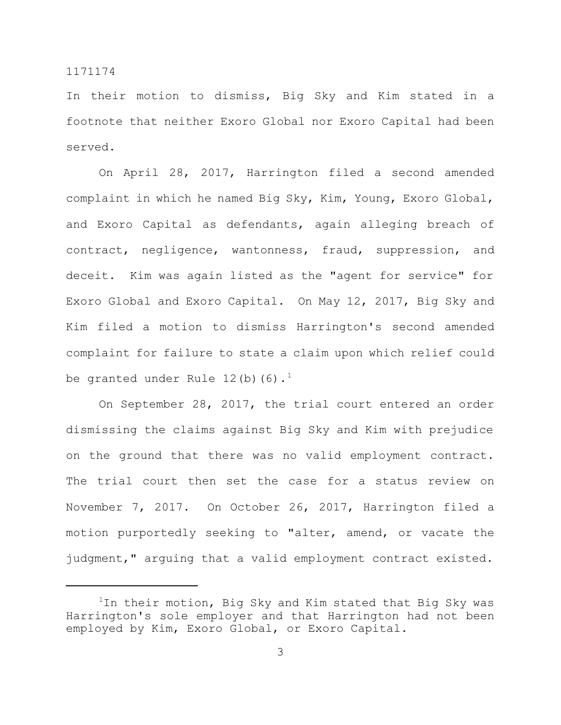In their motion to dismiss, Big Sky and Kim stated in a footnote that neither Exoro Global nor Exoro Capital had been served.

On April 28, 2017, Harrington filed a second amended complaint in which he named Big Sky, Kim, Young, Exoro Global, and Exoro Capital as defendants, again alleging breach of contract, negligence, wantonness, fraud, suppression, and deceit. Kim was again listed as the "agent for service" for Exoro Global and Exoro Capital. On May 12, 2017, Big Sky and Kim filed a motion to dismiss Harrington's second amended complaint for failure to state a claim upon which relief could be granted under Rule  $12(b)(6).$ <sup>1</sup>

On September 28, 2017, the trial court entered an order dismissing the claims against Big Sky and Kim with prejudice on the ground that there was no valid employment contract. The trial court then set the case for a status review on November 7, 2017. On October 26, 2017, Harrington filed a motion purportedly seeking to "alter, amend, or vacate the judgment," arguing that a valid employment contract existed.

 $1$ In their motion, Big Sky and Kim stated that Big Sky was Harrington's sole employer and that Harrington had not been employed by Kim, Exoro Global, or Exoro Capital.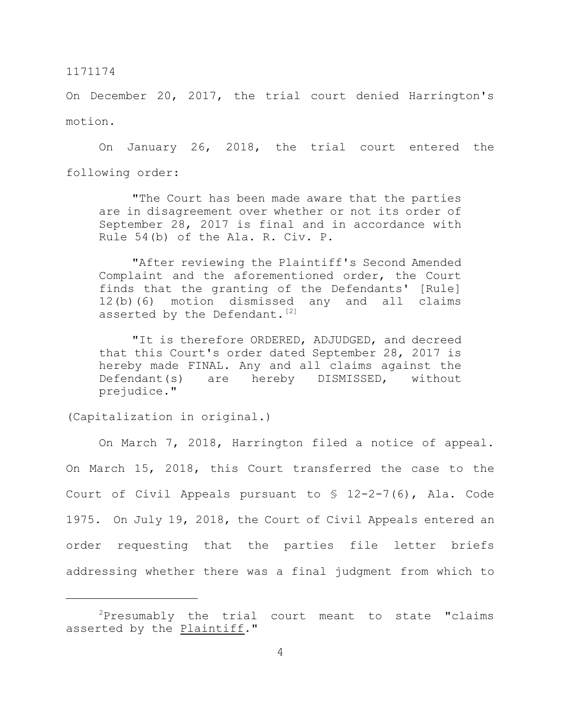On December 20, 2017, the trial court denied Harrington's motion.

On January 26, 2018, the trial court entered the following order:

"The Court has been made aware that the parties are in disagreement over whether or not its order of September 28, 2017 is final and in accordance with Rule 54(b) of the Ala. R. Civ. P.

"After reviewing the Plaintiff's Second Amended Complaint and the aforementioned order, the Court finds that the granting of the Defendants' [Rule] 12(b)(6) motion dismissed any and all claims asserted by the Defendant.<sup>[2]</sup>

"It is therefore ORDERED, ADJUDGED, and decreed that this Court's order dated September 28, 2017 is hereby made FINAL. Any and all claims against the Defendant(s) are hereby DISMISSED, without prejudice."

(Capitalization in original.)

On March 7, 2018, Harrington filed a notice of appeal. On March 15, 2018, this Court transferred the case to the Court of Civil Appeals pursuant to § 12-2-7(6), Ala. Code 1975. On July 19, 2018, the Court of Civil Appeals entered an order requesting that the parties file letter briefs addressing whether there was a final judgment from which to

 $2P$ resumably the trial court meant to state "claims asserted by the **Plaintiff.**"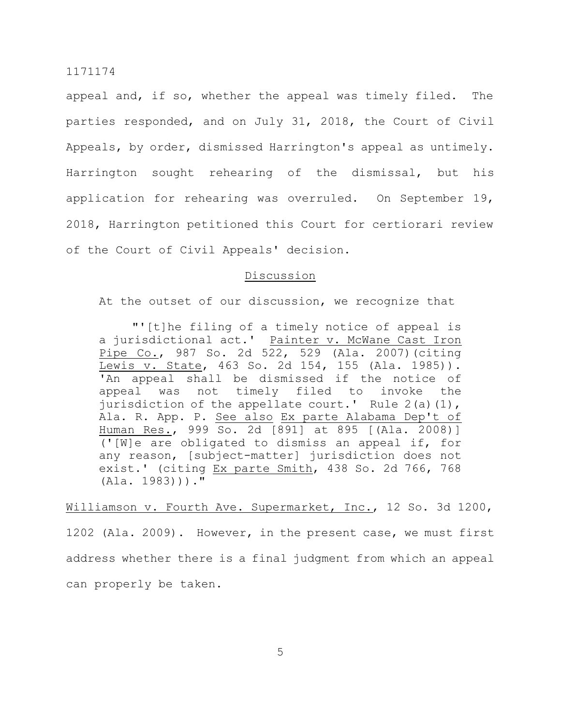appeal and, if so, whether the appeal was timely filed. The parties responded, and on July 31, 2018, the Court of Civil Appeals, by order, dismissed Harrington's appeal as untimely. Harrington sought rehearing of the dismissal, but his application for rehearing was overruled. On September 19, 2018, Harrington petitioned this Court for certiorari review of the Court of Civil Appeals' decision.

#### Discussion

At the outset of our discussion, we recognize that

"'[t]he filing of a timely notice of appeal is a jurisdictional act.' Painter v. McWane Cast Iron Pipe Co., 987 So. 2d 522, 529 (Ala. 2007)(citing Lewis v. State, 463 So. 2d 154, 155 (Ala. 1985)). 'An appeal shall be dismissed if the notice of appeal was not timely filed to invoke the jurisdiction of the appellate court.' Rule  $2(a)(1)$ , Ala. R. App. P. See also Ex parte Alabama Dep't of Human Res., 999 So. 2d [891] at 895 [(Ala. 2008)] ('[W]e are obligated to dismiss an appeal if, for any reason, [subject-matter] jurisdiction does not exist.' (citing Ex parte Smith, 438 So. 2d 766, 768 (Ala. 1983)))."

Williamson v. Fourth Ave. Supermarket, Inc., 12 So. 3d 1200, 1202 (Ala. 2009). However, in the present case, we must first address whether there is a final judgment from which an appeal can properly be taken.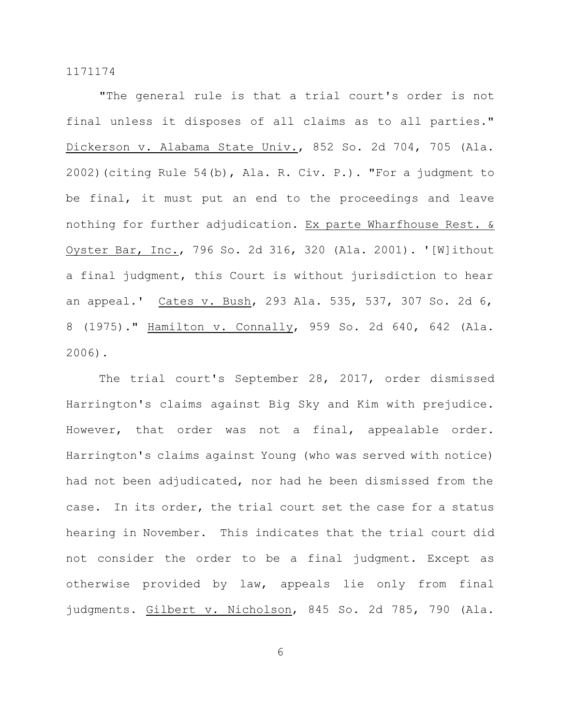"The general rule is that a trial court's order is not final unless it disposes of all claims as to all parties." Dickerson v. Alabama State Univ., 852 So. 2d 704, 705 (Ala. 2002)(citing Rule 54(b), Ala. R. Civ. P.). "For a judgment to be final, it must put an end to the proceedings and leave nothing for further adjudication. Ex parte Wharfhouse Rest. & Oyster Bar, Inc., 796 So. 2d 316, 320 (Ala. 2001). '[W]ithout a final judgment, this Court is without jurisdiction to hear an appeal.' Cates v. Bush, 293 Ala. 535, 537, 307 So. 2d 6, 8 (1975)." Hamilton v. Connally, 959 So. 2d 640, 642 (Ala. 2006).

The trial court's September 28, 2017, order dismissed Harrington's claims against Big Sky and Kim with prejudice. However, that order was not a final, appealable order. Harrington's claims against Young (who was served with notice) had not been adjudicated, nor had he been dismissed from the case. In its order, the trial court set the case for a status hearing in November. This indicates that the trial court did not consider the order to be a final judgment. Except as otherwise provided by law, appeals lie only from final judgments. Gilbert v. Nicholson, 845 So. 2d 785, 790 (Ala.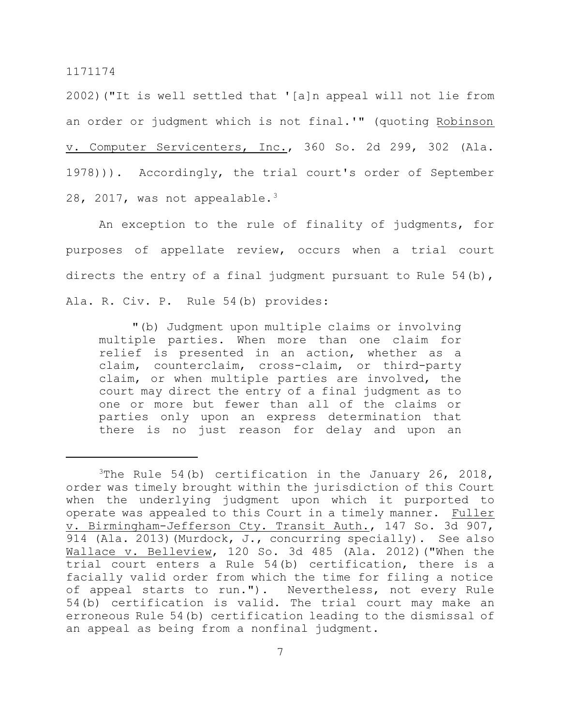2002)("It is well settled that '[a]n appeal will not lie from an order or judgment which is not final.'" (quoting Robinson v. Computer Servicenters, Inc., 360 So. 2d 299, 302 (Ala. 1978))). Accordingly, the trial court's order of September 28, 2017, was not appealable.<sup>3</sup>

An exception to the rule of finality of judgments, for purposes of appellate review, occurs when a trial court directs the entry of a final judgment pursuant to Rule 54(b), Ala. R. Civ. P. Rule 54(b) provides:

"(b) Judgment upon multiple claims or involving multiple parties. When more than one claim for relief is presented in an action, whether as a claim, counterclaim, cross-claim, or third-party claim, or when multiple parties are involved, the court may direct the entry of a final judgment as to one or more but fewer than all of the claims or parties only upon an express determination that there is no just reason for delay and upon an

<sup>&</sup>lt;sup>3</sup>The Rule 54(b) certification in the January 26, 2018, order was timely brought within the jurisdiction of this Court when the underlying judgment upon which it purported to operate was appealed to this Court in a timely manner. Fuller v. Birmingham-Jefferson Cty. Transit Auth., 147 So. 3d 907, 914 (Ala. 2013) (Murdock, J., concurring specially). See also Wallace v. Belleview, 120 So. 3d 485 (Ala. 2012)("When the trial court enters a Rule 54(b) certification, there is a facially valid order from which the time for filing a notice of appeal starts to run."). Nevertheless, not every Rule 54(b) certification is valid. The trial court may make an erroneous Rule 54(b) certification leading to the dismissal of an appeal as being from a nonfinal judgment.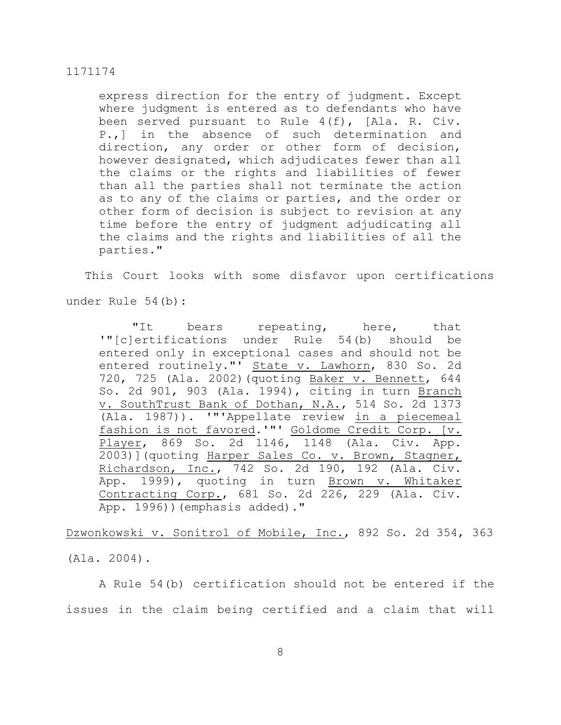express direction for the entry of judgment. Except where judgment is entered as to defendants who have been served pursuant to Rule 4(f), [Ala. R. Civ. P.,] in the absence of such determination and direction, any order or other form of decision, however designated, which adjudicates fewer than all the claims or the rights and liabilities of fewer than all the parties shall not terminate the action as to any of the claims or parties, and the order or other form of decision is subject to revision at any time before the entry of judgment adjudicating all the claims and the rights and liabilities of all the parties."

This Court looks with some disfavor upon certifications

under Rule 54(b):

"It bears repeating, here, that '"[c]ertifications under Rule 54(b) should be entered only in exceptional cases and should not be entered routinely."' State v. Lawhorn, 830 So. 2d 720, 725 (Ala. 2002)(quoting Baker v. Bennett, 644 So. 2d 901, 903 (Ala. 1994), citing in turn Branch v. SouthTrust Bank of Dothan, N.A., 514 So. 2d 1373 (Ala. 1987)). '"'Appellate review in a piecemeal fashion is not favored.'"' Goldome Credit Corp. [v. Player, 869 So. 2d 1146, 1148 (Ala. Civ. App. 2003)](quoting Harper Sales Co. v. Brown, Stagner, Richardson, Inc., 742 So. 2d 190, 192 (Ala. Civ. App. 1999), quoting in turn Brown v. Whitaker Contracting Corp., 681 So. 2d 226, 229 (Ala. Civ. App. 1996))(emphasis added)."

Dzwonkowski v. Sonitrol of Mobile, Inc., 892 So. 2d 354, 363

(Ala. 2004).

A Rule 54(b) certification should not be entered if the issues in the claim being certified and a claim that will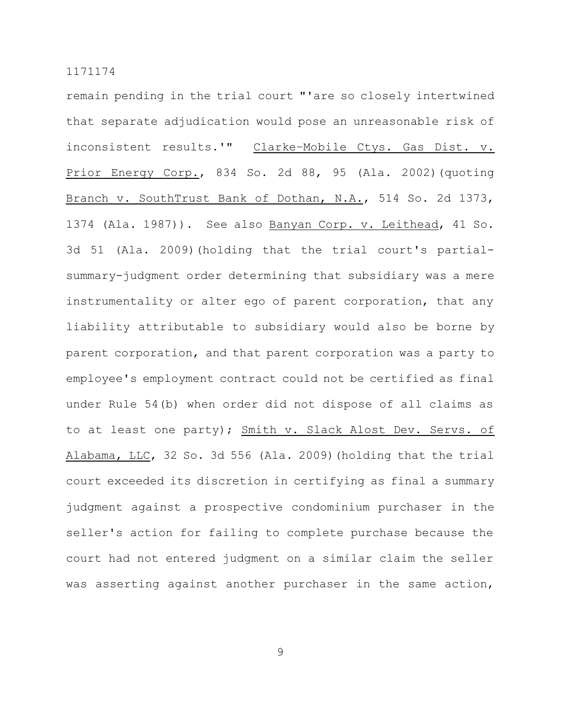remain pending in the trial court "'are so closely intertwined that separate adjudication would pose an unreasonable risk of inconsistent results.'" Clarke–Mobile Ctys. Gas Dist. v. Prior Energy Corp., 834 So. 2d 88, 95 (Ala. 2002)(quoting Branch v. SouthTrust Bank of Dothan, N.A., 514 So. 2d 1373, 1374 (Ala. 1987)). See also Banyan Corp. v. Leithead, 41 So. 3d 51 (Ala. 2009)(holding that the trial court's partialsummary-judgment order determining that subsidiary was a mere instrumentality or alter ego of parent corporation, that any liability attributable to subsidiary would also be borne by parent corporation, and that parent corporation was a party to employee's employment contract could not be certified as final under Rule 54(b) when order did not dispose of all claims as to at least one party); Smith v. Slack Alost Dev. Servs. of Alabama, LLC, 32 So. 3d 556 (Ala. 2009)(holding that the trial court exceeded its discretion in certifying as final a summary judgment against a prospective condominium purchaser in the seller's action for failing to complete purchase because the court had not entered judgment on a similar claim the seller was asserting against another purchaser in the same action,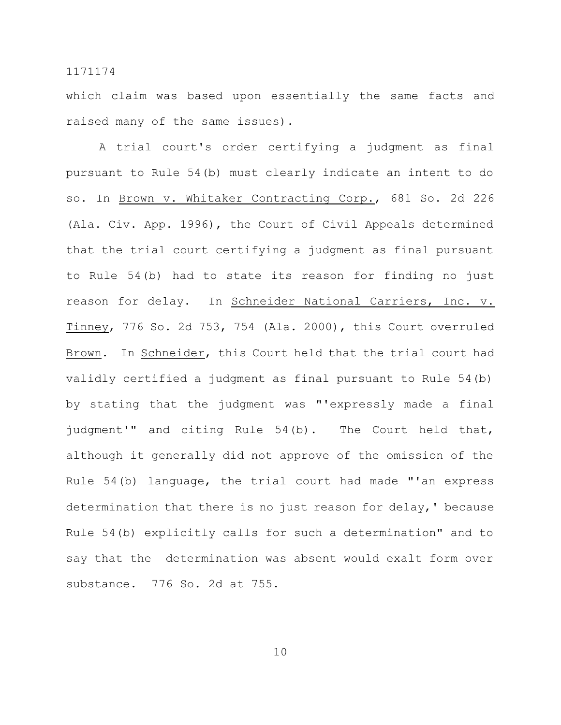which claim was based upon essentially the same facts and raised many of the same issues).

A trial court's order certifying a judgment as final pursuant to Rule 54(b) must clearly indicate an intent to do so. In Brown v. Whitaker Contracting Corp., 681 So. 2d 226 (Ala. Civ. App. 1996), the Court of Civil Appeals determined that the trial court certifying a judgment as final pursuant to Rule 54(b) had to state its reason for finding no just reason for delay. In Schneider National Carriers, Inc. v. Tinney, 776 So. 2d 753, 754 (Ala. 2000), this Court overruled Brown. In Schneider, this Court held that the trial court had validly certified a judgment as final pursuant to Rule 54(b) by stating that the judgment was "'expressly made a final judgment'" and citing Rule 54(b). The Court held that, although it generally did not approve of the omission of the Rule 54(b) language, the trial court had made "'an express determination that there is no just reason for delay,' because Rule 54(b) explicitly calls for such a determination" and to say that the determination was absent would exalt form over substance. 776 So. 2d at 755.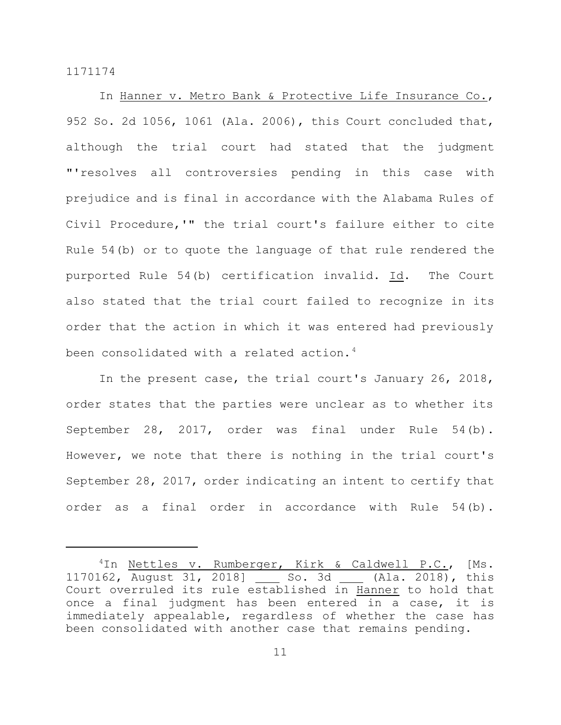In Hanner v. Metro Bank & Protective Life Insurance Co., 952 So. 2d 1056, 1061 (Ala. 2006), this Court concluded that, although the trial court had stated that the judgment "'resolves all controversies pending in this case with prejudice and is final in accordance with the Alabama Rules of Civil Procedure,'" the trial court's failure either to cite Rule 54(b) or to quote the language of that rule rendered the purported Rule 54(b) certification invalid. Id. The Court also stated that the trial court failed to recognize in its order that the action in which it was entered had previously been consolidated with a related action.<sup>4</sup>

In the present case, the trial court's January 26, 2018, order states that the parties were unclear as to whether its September 28, 2017, order was final under Rule 54(b). However, we note that there is nothing in the trial court's September 28, 2017, order indicating an intent to certify that order as a final order in accordance with Rule 54(b).

<sup>&</sup>lt;sup>4</sup>In Nettles v. Rumberger, Kirk & Caldwell P.C., [Ms. 1170162, August 31, 2018] So. 3d (Ala. 2018), this Court overruled its rule established in Hanner to hold that once a final judgment has been entered in a case, it is immediately appealable, regardless of whether the case has been consolidated with another case that remains pending.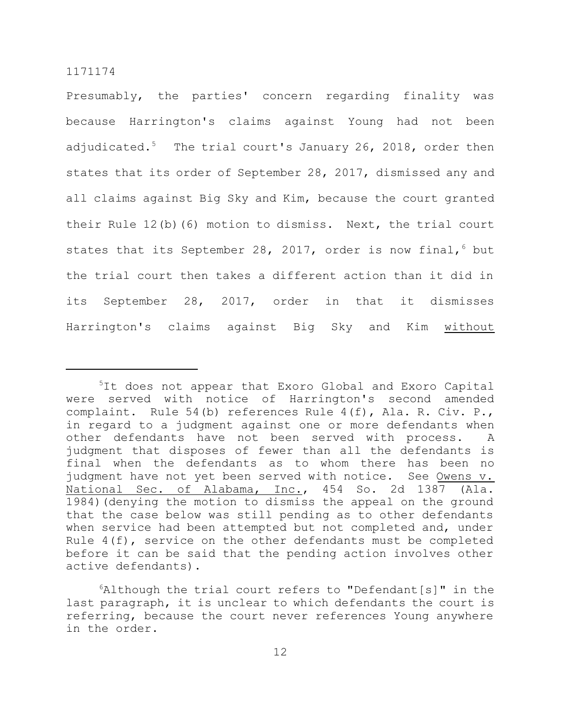Presumably, the parties' concern regarding finality was because Harrington's claims against Young had not been adjudicated.<sup>5</sup> The trial court's January 26, 2018, order then states that its order of September 28, 2017, dismissed any and all claims against Big Sky and Kim, because the court granted their Rule 12(b)(6) motion to dismiss. Next, the trial court states that its September 28, 2017, order is now final,  $6$  but the trial court then takes a different action than it did in its September 28, 2017, order in that it dismisses Harrington's claims against Big Sky and Kim without

<sup>&</sup>lt;sup>5</sup>It does not appear that Exoro Global and Exoro Capital were served with notice of Harrington's second amended complaint. Rule 54(b) references Rule 4(f), Ala. R. Civ. P., in regard to a judgment against one or more defendants when other defendants have not been served with process. A judgment that disposes of fewer than all the defendants is final when the defendants as to whom there has been no judgment have not yet been served with notice. See Owens v. National Sec. of Alabama, Inc., 454 So. 2d 1387 (Ala. 1984)(denying the motion to dismiss the appeal on the ground that the case below was still pending as to other defendants when service had been attempted but not completed and, under Rule 4(f), service on the other defendants must be completed before it can be said that the pending action involves other active defendants).

 $6$ Although the trial court refers to "Defendant[s]" in the last paragraph, it is unclear to which defendants the court is referring, because the court never references Young anywhere in the order.